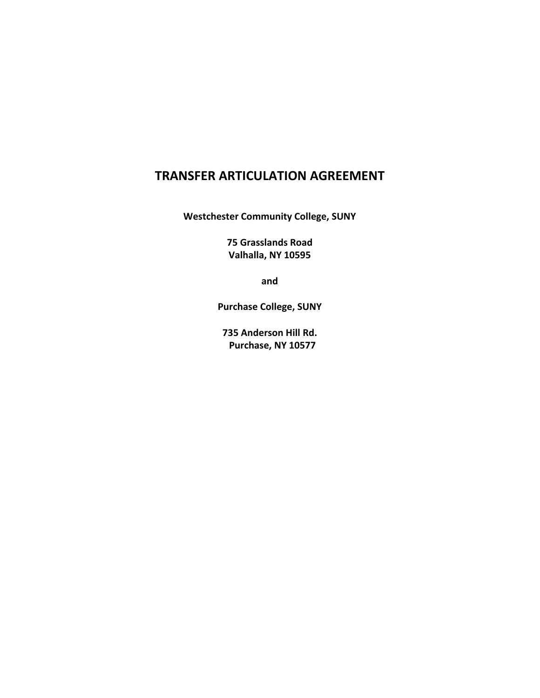# **TRANSFER ARTICULATION AGREEMENT**

**Westchester Community College, SUNY**

**75 Grasslands Road Valhalla, NY 10595**

**and**

**Purchase College, SUNY**

**735 Anderson Hill Rd. Purchase, NY 105ϳ7**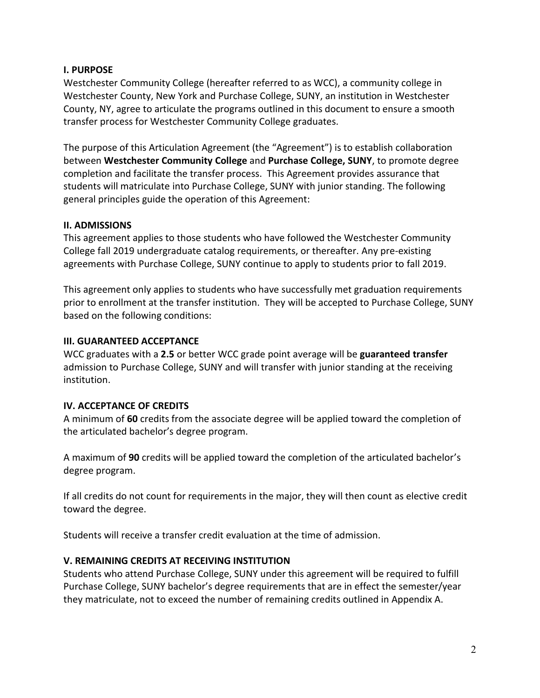#### **I. PURPOSE**

Westchester Community College (hereafter referred to as WCC), a community college in Westchester County, New York and Purchase College, SUNY, an institution in Westchester County, NY, agree to articulate the programs outlined in this document to ensure a smooth transfer process for Westchester Community College graduates.

The purpose of this Articulation Agreement (the "Agreement") is to establish collaboration between **Westchester Community College** and **Purchase College, SUNY**, to promote degree completion and facilitate the transfer process. This Agreement provides assurance that students will matriculate into Purchase College, SUNY with junior standing. The following general principles guide the operation of this Agreement:

#### **II. ADMISSIONS**

This agreement applies to those students who have followed the Westchester Community College fall 2019 undergraduate catalog requirements, or thereafter. Any pre-existing agreements with Purchase College, SUNY continue to apply to students prior to fall 2019.

This agreement only applies to students who have successfully met graduation requirements prior to enrollment at the transfer institution. They will be accepted to Purchase College, SUNY based on the following conditions:

#### **III. GUARANTEED ACCEPTANCE**

WCC graduates with a **2.5** or better WCC grade point average will be **guaranteed transfer** admission to Purchase College, SUNY and will transfer with junior standing at the receiving institution.

## **IV. ACCEPTANCE OF CREDITS**

A minimum of **60** credits from the associate degree will be applied toward the completion of the articulated bachelor's degree program.

A maximum of **90** credits will be applied toward the completion of the articulated bachelor's degree program.

If all credits do not count for requirements in the major, they will then count as elective credit toward the degree.

Students will receive a transfer credit evaluation at the time of admission.

#### **V. REMAINING CREDITS AT RECEIVING INSTITUTION**

Students who attend Purchase College, SUNY under this agreement will be required to fulfill Purchase College, SUNY bachelor's degree requirements that are in effect the semester/year they matriculate, not to exceed the number of remaining credits outlined in Appendix A.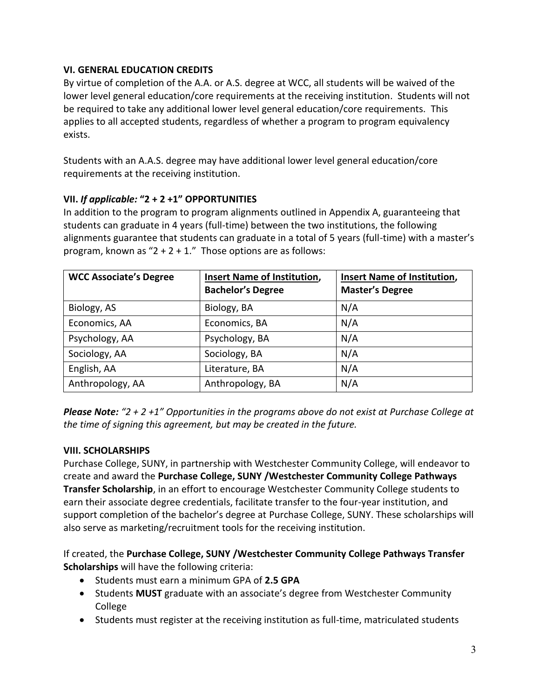## **VI. GENERAL EDUCATION CREDITS**

By virtue of completion of the A.A. or A.S. degree at WCC, all students will be waived of the lower level general education/core requirements at the receiving institution. Students will not be required to take any additional lower level general education/core requirements. This applies to all accepted students, regardless of whether a program to program equivalency exists.

Students with an A.A.S. degree may have additional lower level general education/core requirements at the receiving institution.

# **VII.** *If applicable:* **"2 н 2 н1" OPPORTUNITIES**

In addition to the program to program alignments outlined in Appendix A, guaranteeing that students can graduate in 4 years (full-time) between the two institutions, the following alignments guarantee that students can graduate in a total of 5 years (full-time) with a master's program, known as  $"2 + 2 + 1."$  Those options are as follows:

| <b>WCC Associate's Degree</b> | Insert Name of Institution,<br><b>Bachelor's Degree</b> | <b>Insert Name of Institution,</b><br><b>Master's Degree</b> |
|-------------------------------|---------------------------------------------------------|--------------------------------------------------------------|
| Biology, AS                   | Biology, BA                                             | N/A                                                          |
| Economics, AA                 | Economics, BA                                           | N/A                                                          |
| Psychology, AA                | Psychology, BA                                          | N/A                                                          |
| Sociology, AA                 | Sociology, BA                                           | N/A                                                          |
| English, AA                   | Literature, BA                                          | N/A                                                          |
| Anthropology, AA              | Anthropology, BA                                        | N/A                                                          |

*Please Note: "2 + 2 +1" Opportunities in the programs above do not exist at Purchase College at the time of signing this agreement, but may be created in the future.*

## **VIII. SCHOLARSHIPS**

Purchase College, SUNY, in partnership with Westchester Community College, will endeavor to create and award the **Purchase College, SUNY /Westchester Community College Pathways Transfer Scholarship**, in an effort to encourage Westchester Community College students to earn their associate degree credentials, facilitate transfer to the four-year institution, and support completion of the bachelor's degree at Purchase College, SUNY. These scholarships will also serve as marketing/recruitment tools for the receiving institution.

If created, the **Purchase College, SUNY /Westchester Community College Pathways Transfer Scholarships** will have the following criteria:

- x Students must earn a minimum GPA of **2.5 GPA**
- Students **MUST** graduate with an associate's degree from Westchester Community College
- Students must register at the receiving institution as full-time, matriculated students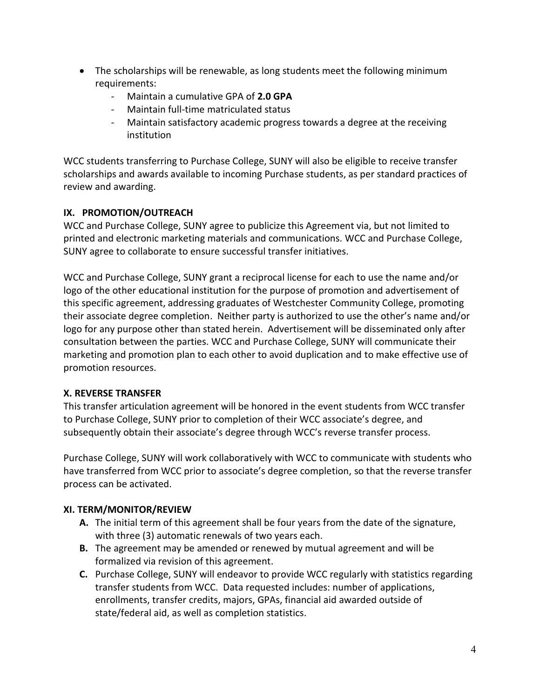- The scholarships will be renewable, as long students meet the following minimum requirements:
	- Maintain a cumulative GPA of **2.0 GPA**
	- Maintain full-time matriculated status
	- Maintain satisfactory academic progress towards a degree at the receiving institution

WCC students transferring to Purchase College, SUNY will also be eligible to receive transfer scholarships and awards available to incoming Purchase students, as per standard practices of review and awarding.

# **IX. PROMOTION/OUTREACH**

WCC and Purchase College, SUNY agree to publicize this Agreement via, but not limited to printed and electronic marketing materials and communications. WCC and Purchase College, SUNY agree to collaborate to ensure successful transfer initiatives.

WCC and Purchase College, SUNY grant a reciprocal license for each to use the name and/or logo of the other educational institution for the purpose of promotion and advertisement of this specific agreement, addressing graduates of Westchester Community College, promoting their associate degree completion. Neither party is authorized to use the other's name and/or logo for any purpose other than stated herein. Advertisement will be disseminated only after consultation between the parties. WCC and Purchase College, SUNY will communicate their marketing and promotion plan to each other to avoid duplication and to make effective use of promotion resources.

## **X. REVERSE TRANSFER**

This transfer articulation agreement will be honored in the event students from WCC transfer to Purchase College, SUNY prior to completion of their WCC associate's degree, and subsequently obtain their associate's degree through WCC's reverse transfer process.

Purchase College, SUNY will work collaboratively with WCC to communicate with students who have transferred from WCC prior to associate's degree completion, so that the reverse transfer process can be activated.

## **XI. TERM/MONITOR/REVIEW**

- **A.** The initial term of this agreement shall be four years from the date of the signature, with three (3) automatic renewals of two years each.
- **B.** The agreement may be amended or renewed by mutual agreement and will be formalized via revision of this agreement.
- **C.** Purchase College, SUNY will endeavor to provide WCC regularly with statistics regarding transfer students from WCC. Data requested includes: number of applications, enrollments, transfer credits, majors, GPAs, financial aid awarded outside of state/federal aid, as well as completion statistics.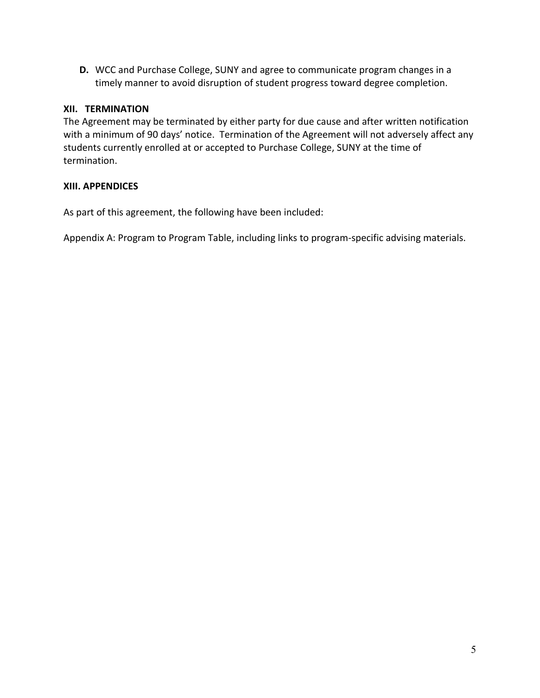**D.** WCC and Purchase College, SUNY and agree to communicate program changes in a timely manner to avoid disruption of student progress toward degree completion.

## **XII. TERMINATION**

The Agreement may be terminated by either party for due cause and after written notification with a minimum of 90 days' notice. Termination of the Agreement will not adversely affect any students currently enrolled at or accepted to Purchase College, SUNY at the time of termination.

# **XIII. APPENDICES**

As part of this agreement, the following have been included:

Appendix A: Program to Program Table, including links to program-specific advising materials.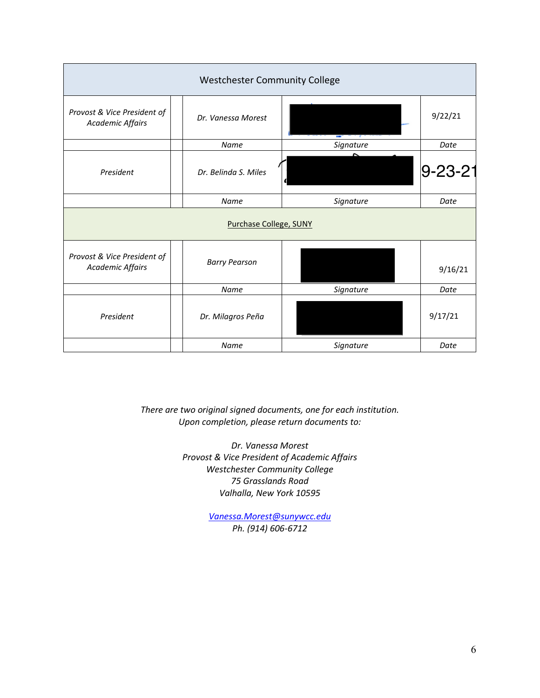| <b>Westchester Community College</b>                   |                      |           |                |  |  |  |  |
|--------------------------------------------------------|----------------------|-----------|----------------|--|--|--|--|
| Provost & Vice President of<br><b>Academic Affairs</b> | Dr. Vanessa Morest   | 9/22/21   |                |  |  |  |  |
|                                                        | Name                 | Signature | Date           |  |  |  |  |
| President                                              | Dr. Belinda S. Miles |           | $ 9 - 23 - 21$ |  |  |  |  |
|                                                        | Name                 | Signature |                |  |  |  |  |
| Purchase College, SUNY                                 |                      |           |                |  |  |  |  |
| Provost & Vice President of<br><b>Academic Affairs</b> | <b>Barry Pearson</b> |           | 9/16/21        |  |  |  |  |
|                                                        | Name                 | Signature | Date           |  |  |  |  |
| President                                              | Dr. Milagros Peña    |           | 9/17/21        |  |  |  |  |
|                                                        | Name                 | Signature | Date           |  |  |  |  |

*There are two original signed documents, one for each institution. Upon completion, please return documents to:* 

> *Dr. Vanessa Morest Provost & Vice President of Academic Affairs Westchester Community College 75 Grasslands Road Valhalla, New York 10595*

> > *[Vanessa.Morest@sunywcc.edu](mailto:Vanessa.Morest@sunywcc.edu) Ph. (914) 606-6712*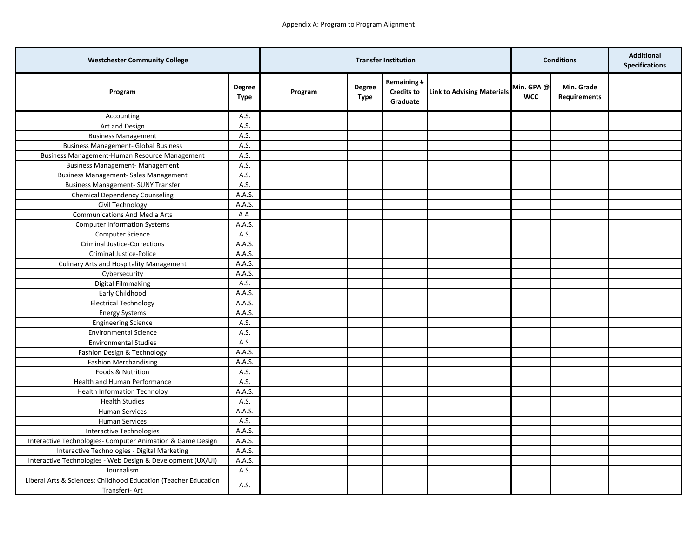| <b>Westchester Community College</b>                                              |                       | <b>Transfer Institution</b> |                       | <b>Conditions</b>                                  |                                   | <b>Additional</b><br><b>Specifications</b> |                                   |  |
|-----------------------------------------------------------------------------------|-----------------------|-----------------------------|-----------------------|----------------------------------------------------|-----------------------------------|--------------------------------------------|-----------------------------------|--|
| Program                                                                           | <b>Degree</b><br>Type | Program                     | <b>Degree</b><br>Type | <b>Remaining#</b><br><b>Credits to</b><br>Graduate | <b>Link to Advising Materials</b> | Min. GPA@<br><b>WCC</b>                    | Min. Grade<br><b>Requirements</b> |  |
| Accounting                                                                        | A.S.                  |                             |                       |                                                    |                                   |                                            |                                   |  |
| Art and Design                                                                    | A.S.                  |                             |                       |                                                    |                                   |                                            |                                   |  |
| <b>Business Management</b>                                                        | A.S.                  |                             |                       |                                                    |                                   |                                            |                                   |  |
| <b>Business Management- Global Business</b>                                       | A.S.                  |                             |                       |                                                    |                                   |                                            |                                   |  |
| Business Management-Human Resource Management                                     | A.S.                  |                             |                       |                                                    |                                   |                                            |                                   |  |
| <b>Business Management- Management</b>                                            | A.S.                  |                             |                       |                                                    |                                   |                                            |                                   |  |
| <b>Business Management- Sales Management</b>                                      | A.S.                  |                             |                       |                                                    |                                   |                                            |                                   |  |
| <b>Business Management- SUNY Transfer</b>                                         | A.S.                  |                             |                       |                                                    |                                   |                                            |                                   |  |
| <b>Chemical Dependency Counseling</b>                                             | A.A.S.                |                             |                       |                                                    |                                   |                                            |                                   |  |
| Civil Technology                                                                  | A.A.S.                |                             |                       |                                                    |                                   |                                            |                                   |  |
| <b>Communications And Media Arts</b>                                              | A.A.                  |                             |                       |                                                    |                                   |                                            |                                   |  |
| <b>Computer Information Systems</b>                                               | A.A.S.                |                             |                       |                                                    |                                   |                                            |                                   |  |
| <b>Computer Science</b>                                                           | A.S.                  |                             |                       |                                                    |                                   |                                            |                                   |  |
| <b>Criminal Justice-Corrections</b>                                               | A.A.S.                |                             |                       |                                                    |                                   |                                            |                                   |  |
| Criminal Justice-Police                                                           | A.A.S.                |                             |                       |                                                    |                                   |                                            |                                   |  |
| <b>Culinary Arts and Hospitality Management</b>                                   | A.A.S.                |                             |                       |                                                    |                                   |                                            |                                   |  |
| Cybersecurity                                                                     | A.A.S.                |                             |                       |                                                    |                                   |                                            |                                   |  |
| Digital Filmmaking                                                                | A.S.                  |                             |                       |                                                    |                                   |                                            |                                   |  |
| Early Childhood                                                                   | A.A.S.                |                             |                       |                                                    |                                   |                                            |                                   |  |
| <b>Electrical Technology</b>                                                      | A.A.S.                |                             |                       |                                                    |                                   |                                            |                                   |  |
| <b>Energy Systems</b>                                                             | A.A.S.                |                             |                       |                                                    |                                   |                                            |                                   |  |
| <b>Engineering Science</b>                                                        | A.S.                  |                             |                       |                                                    |                                   |                                            |                                   |  |
| <b>Environmental Science</b>                                                      | A.S.                  |                             |                       |                                                    |                                   |                                            |                                   |  |
| <b>Environmental Studies</b>                                                      | A.S.                  |                             |                       |                                                    |                                   |                                            |                                   |  |
| Fashion Design & Technology                                                       | A.A.S.                |                             |                       |                                                    |                                   |                                            |                                   |  |
| <b>Fashion Merchandising</b>                                                      | A.A.S.                |                             |                       |                                                    |                                   |                                            |                                   |  |
| Foods & Nutrition                                                                 | A.S.                  |                             |                       |                                                    |                                   |                                            |                                   |  |
| Health and Human Performance                                                      | A.S.                  |                             |                       |                                                    |                                   |                                            |                                   |  |
| <b>Health Information Technoloy</b>                                               | A.A.S.                |                             |                       |                                                    |                                   |                                            |                                   |  |
| <b>Health Studies</b>                                                             | A.S.                  |                             |                       |                                                    |                                   |                                            |                                   |  |
| <b>Human Services</b>                                                             | A.A.S.                |                             |                       |                                                    |                                   |                                            |                                   |  |
| <b>Human Services</b>                                                             | A.S.                  |                             |                       |                                                    |                                   |                                            |                                   |  |
| Interactive Technologies                                                          | A.A.S.                |                             |                       |                                                    |                                   |                                            |                                   |  |
| Interactive Technologies- Computer Animation & Game Design                        | A.A.S.                |                             |                       |                                                    |                                   |                                            |                                   |  |
| Interactive Technologies - Digital Marketing                                      | A.A.S.                |                             |                       |                                                    |                                   |                                            |                                   |  |
| Interactive Technologies - Web Design & Development (UX/UI)                       | A.A.S.                |                             |                       |                                                    |                                   |                                            |                                   |  |
| Journalism                                                                        | A.S.                  |                             |                       |                                                    |                                   |                                            |                                   |  |
| Liberal Arts & Sciences: Childhood Education (Teacher Education<br>Transfer)- Art | A.S.                  |                             |                       |                                                    |                                   |                                            |                                   |  |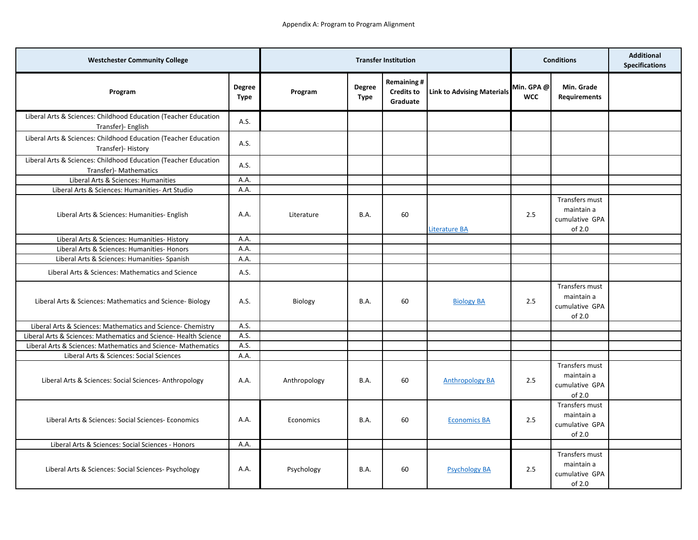| <b>Westchester Community College</b>                                                       |                | <b>Transfer Institution</b> |                       | <b>Conditions</b>                                  |                                   | <b>Additional</b><br><b>Specifications</b> |                                                          |  |
|--------------------------------------------------------------------------------------------|----------------|-----------------------------|-----------------------|----------------------------------------------------|-----------------------------------|--------------------------------------------|----------------------------------------------------------|--|
| Program                                                                                    | Degree<br>Type | Program                     | Degree<br><b>Type</b> | <b>Remaining#</b><br><b>Credits to</b><br>Graduate | <b>Link to Advising Materials</b> | Min. GPA @<br><b>WCC</b>                   | Min. Grade<br><b>Requirements</b>                        |  |
| Liberal Arts & Sciences: Childhood Education (Teacher Education<br>Transfer)- English      | A.S.           |                             |                       |                                                    |                                   |                                            |                                                          |  |
| Liberal Arts & Sciences: Childhood Education (Teacher Education<br>Transfer)- History      | A.S.           |                             |                       |                                                    |                                   |                                            |                                                          |  |
| Liberal Arts & Sciences: Childhood Education (Teacher Education<br>Transfer) - Mathematics | A.S.           |                             |                       |                                                    |                                   |                                            |                                                          |  |
| Liberal Arts & Sciences: Humanities                                                        | A.A.           |                             |                       |                                                    |                                   |                                            |                                                          |  |
| Liberal Arts & Sciences: Humanities- Art Studio                                            | A.A.           |                             |                       |                                                    |                                   |                                            |                                                          |  |
| Liberal Arts & Sciences: Humanities- English                                               | A.A.           | Literature                  | B.A.                  | 60                                                 | Literature BA                     | 2.5                                        | Transfers must<br>maintain a<br>cumulative GPA<br>of 2.0 |  |
| Liberal Arts & Sciences: Humanities- History                                               | A.A.           |                             |                       |                                                    |                                   |                                            |                                                          |  |
| Liberal Arts & Sciences: Humanities- Honors                                                | A.A.           |                             |                       |                                                    |                                   |                                            |                                                          |  |
| Liberal Arts & Sciences: Humanities- Spanish                                               | A.A.           |                             |                       |                                                    |                                   |                                            |                                                          |  |
| Liberal Arts & Sciences: Mathematics and Science                                           | A.S.           |                             |                       |                                                    |                                   |                                            |                                                          |  |
| Liberal Arts & Sciences: Mathematics and Science-Biology                                   | A.S.           | Biology                     | B.A.                  | 60                                                 | <b>Biology BA</b>                 | 2.5                                        | Transfers must<br>maintain a<br>cumulative GPA<br>of 2.0 |  |
| Liberal Arts & Sciences: Mathematics and Science- Chemistry                                | A.S.           |                             |                       |                                                    |                                   |                                            |                                                          |  |
| Liberal Arts & Sciences: Mathematics and Science- Health Science                           | A.S.           |                             |                       |                                                    |                                   |                                            |                                                          |  |
| Liberal Arts & Sciences: Mathematics and Science- Mathematics                              | A.S.           |                             |                       |                                                    |                                   |                                            |                                                          |  |
| Liberal Arts & Sciences: Social Sciences                                                   | A.A.           |                             |                       |                                                    |                                   |                                            |                                                          |  |
| Liberal Arts & Sciences: Social Sciences- Anthropology                                     | A.A.           | Anthropology                | <b>B.A.</b>           | 60                                                 | <b>Anthropology BA</b>            | 2.5                                        | Transfers must<br>maintain a<br>cumulative GPA<br>of 2.0 |  |
| Liberal Arts & Sciences: Social Sciences- Economics                                        | A.A.           | Economics                   | B.A.                  | 60                                                 | <b>Economics BA</b>               | 2.5                                        | Transfers must<br>maintain a<br>cumulative GPA<br>of 2.0 |  |
| Liberal Arts & Sciences: Social Sciences - Honors                                          | A.A.           |                             |                       |                                                    |                                   |                                            |                                                          |  |
| Liberal Arts & Sciences: Social Sciences- Psychology                                       | A.A.           | Psychology                  | B.A.                  | 60                                                 | <b>Psychology BA</b>              | 2.5                                        | Transfers must<br>maintain a<br>cumulative GPA<br>of 2.0 |  |